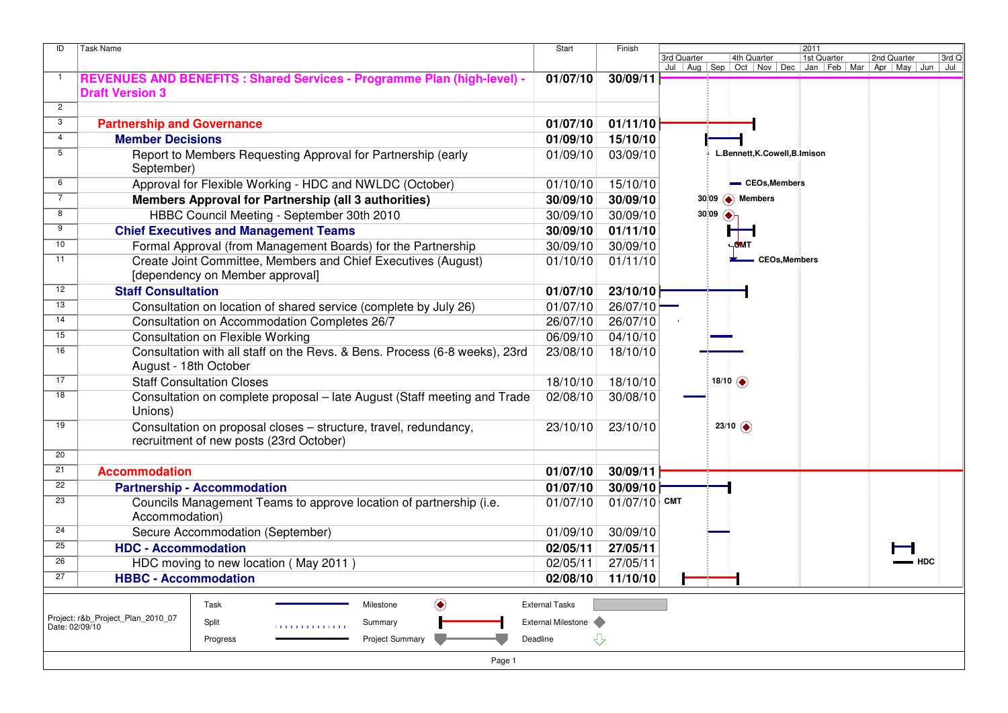| <b>Task Name</b><br>ID |                                                                                  | Start                 | Finish         | 2011                                                                                                |                      |             |                |  |  |  |
|------------------------|----------------------------------------------------------------------------------|-----------------------|----------------|-----------------------------------------------------------------------------------------------------|----------------------|-------------|----------------|--|--|--|
|                        |                                                                                  |                       |                | 4th Quarter<br>3rd Quarter<br>Jul   Aug   Sep   Oct   Nov   Dec   Jan   Feb   Mar   Apr   May   Jun | 1st Quarter          | 2nd Quarter | 3rd Q<br>  Jul |  |  |  |
| $\overline{1}$         | REVENUES AND BENEFITS : Shared Services - Programme Plan (high-level) -          | 01/07/10              | 30/09/11       |                                                                                                     |                      |             |                |  |  |  |
|                        | <b>Draft Version 3</b>                                                           |                       |                |                                                                                                     |                      |             |                |  |  |  |
| $\overline{2}$         |                                                                                  |                       |                |                                                                                                     |                      |             |                |  |  |  |
| 3                      | <b>Partnership and Governance</b>                                                | 01/07/10              | 01/11/10       |                                                                                                     |                      |             |                |  |  |  |
| 4                      | <b>Member Decisions</b>                                                          | 01/09/10              | 15/10/10       |                                                                                                     |                      |             |                |  |  |  |
| $\overline{5}$         | Report to Members Requesting Approval for Partnership (early<br>September)       | 01/09/10              | 03/09/10       | L.Bennett, K.Cowell, B.Imison                                                                       |                      |             |                |  |  |  |
| 6                      | Approval for Flexible Working - HDC and NWLDC (October)                          | 01/10/10              | 15/10/10       | - CEOs, Members                                                                                     |                      |             |                |  |  |  |
| $\overline{7}$         | Members Approval for Partnership (all 3 authorities)                             | 30/09/10              | 30/09/10       | $30:09$ $\bullet$ Members                                                                           |                      |             |                |  |  |  |
| 8                      | HBBC Council Meeting - September 30th 2010                                       | 30/09/10              | 30/09/10       | $30:09$ $\bullet$                                                                                   |                      |             |                |  |  |  |
| 9                      | <b>Chief Executives and Management Teams</b>                                     | 30/09/10              | 01/11/10       |                                                                                                     |                      |             |                |  |  |  |
| 10                     | Formal Approval (from Management Boards) for the Partnership                     | 30/09/10              | 30/09/10       | <b>GMT</b>                                                                                          |                      |             |                |  |  |  |
| 11                     | Create Joint Committee, Members and Chief Executives (August)                    | 01/10/10              | 01/11/10       |                                                                                                     | <b>CEOs, Members</b> |             |                |  |  |  |
|                        | [dependency on Member approval]                                                  |                       |                |                                                                                                     |                      |             |                |  |  |  |
| 12                     | <b>Staff Consultation</b>                                                        | 01/07/10              | 23/10/10       |                                                                                                     |                      |             |                |  |  |  |
| 13                     | Consultation on location of shared service (complete by July 26)                 | 01/07/10              | 26/07/10       |                                                                                                     |                      |             |                |  |  |  |
| 14                     | Consultation on Accommodation Completes 26/7                                     | 26/07/10              | 26/07/10       |                                                                                                     |                      |             |                |  |  |  |
| 15                     | <b>Consultation on Flexible Working</b>                                          | 06/09/10              | 04/10/10       |                                                                                                     |                      |             |                |  |  |  |
| 16                     | Consultation with all staff on the Revs. & Bens. Process (6-8 weeks), 23rd       | 23/08/10              | 18/10/10       |                                                                                                     |                      |             |                |  |  |  |
|                        | August - 18th October                                                            |                       |                |                                                                                                     |                      |             |                |  |  |  |
| 17                     | <b>Staff Consultation Closes</b>                                                 | 18/10/10              | 18/10/10       | 18/10 $\bigodot$                                                                                    |                      |             |                |  |  |  |
| $\overline{18}$        | Consultation on complete proposal - late August (Staff meeting and Trade         | 02/08/10              | 30/08/10       |                                                                                                     |                      |             |                |  |  |  |
|                        | Unions)                                                                          |                       |                |                                                                                                     |                      |             |                |  |  |  |
| 19                     | Consultation on proposal closes - structure, travel, redundancy,                 | 23/10/10              | 23/10/10       | $23/10$ $\odot$                                                                                     |                      |             |                |  |  |  |
|                        | recruitment of new posts (23rd October)                                          |                       |                |                                                                                                     |                      |             |                |  |  |  |
| 20                     |                                                                                  |                       |                |                                                                                                     |                      |             |                |  |  |  |
| $\overline{21}$        | <b>Accommodation</b>                                                             | 01/07/10              | 30/09/11       |                                                                                                     |                      |             |                |  |  |  |
| $\overline{22}$        | <b>Partnership - Accommodation</b>                                               | 01/07/10              | 30/09/10       |                                                                                                     |                      |             |                |  |  |  |
| 23                     | Councils Management Teams to approve location of partnership (i.e.               | 01/07/10              | $01/07/10$ CMT |                                                                                                     |                      |             |                |  |  |  |
|                        | Accommodation)                                                                   |                       |                |                                                                                                     |                      |             |                |  |  |  |
| 24                     | Secure Accommodation (September)                                                 | 01/09/10              | 30/09/10       |                                                                                                     |                      |             |                |  |  |  |
| 25                     | <b>HDC - Accommodation</b>                                                       | 02/05/11              | 27/05/11       |                                                                                                     |                      |             |                |  |  |  |
| 26                     | HDC moving to new location (May 2011)                                            | 02/05/11              | 27/05/11       |                                                                                                     |                      |             |                |  |  |  |
| 27                     | <b>HBBC - Accommodation</b>                                                      | 02/08/10              | 11/10/10       |                                                                                                     |                      |             |                |  |  |  |
|                        |                                                                                  |                       |                |                                                                                                     |                      |             |                |  |  |  |
|                        | ◉<br>Task<br>Milestone                                                           | <b>External Tasks</b> |                |                                                                                                     |                      |             |                |  |  |  |
| Date: 02/09/10         | Project: r&b_Project_Plan_2010_07<br>Split<br>Summary<br><b>1111111111111111</b> | External Milestone    |                |                                                                                                     |                      |             |                |  |  |  |
|                        | <b>Project Summary</b><br>Progress                                               | Deadline              | ⇩              |                                                                                                     |                      |             |                |  |  |  |
|                        | Page 1                                                                           |                       |                |                                                                                                     |                      |             |                |  |  |  |
|                        |                                                                                  |                       |                |                                                                                                     |                      |             |                |  |  |  |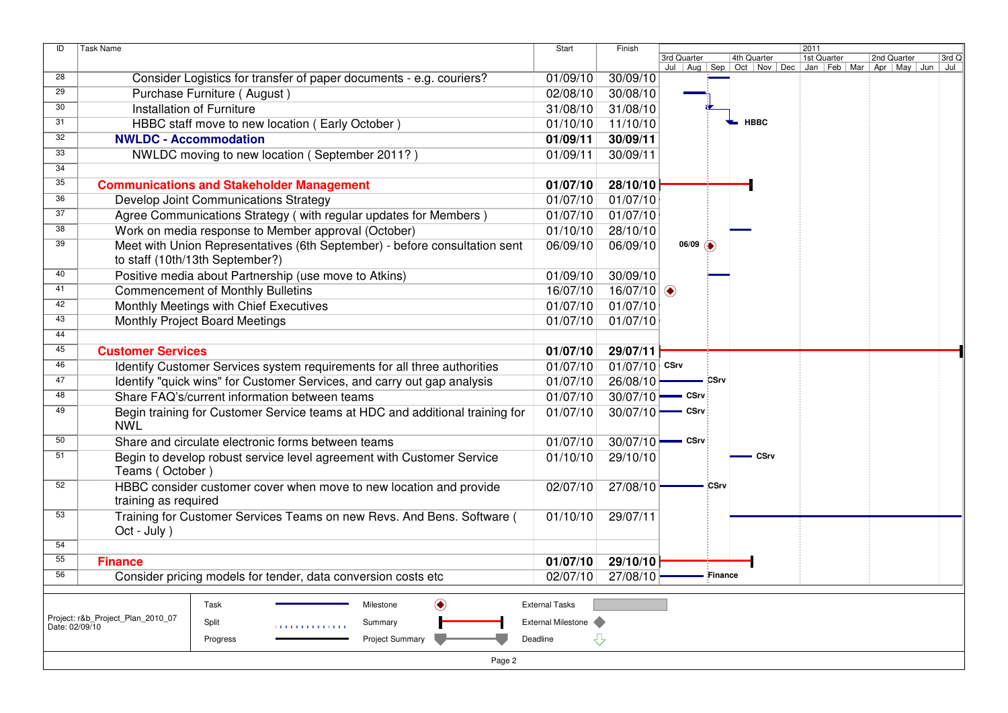| ID              | <b>Task Name</b>                                                             | Start                 | Finish           |             |                        |             |                                                                                                                                                | 2011 |       |
|-----------------|------------------------------------------------------------------------------|-----------------------|------------------|-------------|------------------------|-------------|------------------------------------------------------------------------------------------------------------------------------------------------|------|-------|
|                 |                                                                              |                       |                  | 3rd Quarter |                        |             | 3rd Quarter   4th Quarter   1st Quarter   2nd Quarter   3rd C<br>  Jul   Aug   Sep   Oct   Nov   Dec   Jan   Feb   Mar   Apr   May   Jun   Jul |      | 3rd Q |
| $\overline{28}$ | Consider Logistics for transfer of paper documents - e.g. couriers?          | 01/09/10              | 30/09/10         |             |                        |             |                                                                                                                                                |      |       |
| 29              | Purchase Furniture (August)                                                  | 02/08/10              | 30/08/10         |             |                        |             |                                                                                                                                                |      |       |
| 30              | Installation of Furniture                                                    | 31/08/10              | 31/08/10         |             |                        |             |                                                                                                                                                |      |       |
| 31              | HBBC staff move to new location (Early October)                              | 01/10/10              | 11/10/10         |             |                        |             | <b>HBBC</b>                                                                                                                                    |      |       |
| 32              | <b>NWLDC - Accommodation</b>                                                 | 01/09/11              | 30/09/11         |             |                        |             |                                                                                                                                                |      |       |
| 33              | NWLDC moving to new location (September 2011?)                               | 01/09/11              | 30/09/11         |             |                        |             |                                                                                                                                                |      |       |
| 34              |                                                                              |                       |                  |             |                        |             |                                                                                                                                                |      |       |
| 35              | <b>Communications and Stakeholder Management</b>                             | 01/07/10              | 28/10/10         |             |                        |             |                                                                                                                                                |      |       |
| 36              | Develop Joint Communications Strategy                                        | 01/07/10              | 01/07/10         |             |                        |             |                                                                                                                                                |      |       |
| 37              | Agree Communications Strategy (with regular updates for Members)             | 01/07/10              | 01/07/10         |             |                        |             |                                                                                                                                                |      |       |
| 38              | Work on media response to Member approval (October)                          | 01/10/10              | 28/10/10         |             |                        |             |                                                                                                                                                |      |       |
| 39              | Meet with Union Representatives (6th September) - before consultation sent   | 06/09/10              | 06/09/10         |             | $06/09$ $\circledcirc$ |             |                                                                                                                                                |      |       |
|                 | to staff (10th/13th September?)                                              |                       |                  |             |                        |             |                                                                                                                                                |      |       |
| 40              | Positive media about Partnership (use move to Atkins)                        | 01/09/10              | 30/09/10         |             |                        |             |                                                                                                                                                |      |       |
| 41              | <b>Commencement of Monthly Bulletins</b>                                     | 16/07/10              | 16/07/10 $\circ$ |             |                        |             |                                                                                                                                                |      |       |
| 42              | Monthly Meetings with Chief Executives                                       | 01/07/10              | 01/07/10         |             |                        |             |                                                                                                                                                |      |       |
| 43              | Monthly Project Board Meetings                                               | 01/07/10              | 01/07/10         |             |                        |             |                                                                                                                                                |      |       |
| 44              |                                                                              |                       |                  |             |                        |             |                                                                                                                                                |      |       |
| 45              | <b>Customer Services</b>                                                     | 01/07/10              | 29/07/11         |             |                        |             |                                                                                                                                                |      |       |
| 46              | Identify Customer Services system requirements for all three authorities     | 01/07/10              | $01/07/10$ CSrv  |             |                        |             |                                                                                                                                                |      |       |
| 47              | Identify "quick wins" for Customer Services, and carry out gap analysis      | 01/07/10              | 26/08/10         |             |                        | <b>CSrv</b> |                                                                                                                                                |      |       |
| 48              | Share FAQ's/current information between teams                                | 01/07/10              | 30/07/10         |             | - CSrv                 |             |                                                                                                                                                |      |       |
| 49              | Begin training for Customer Service teams at HDC and additional training for | 01/07/10              | 30/07/10         |             | $=$ CSrv               |             |                                                                                                                                                |      |       |
|                 | <b>NWL</b>                                                                   |                       |                  |             |                        |             |                                                                                                                                                |      |       |
| 50              | Share and circulate electronic forms between teams                           | 01/07/10              | 30/07/10         |             | $\equiv$ CSrv          |             |                                                                                                                                                |      |       |
| 51              | Begin to develop robust service level agreement with Customer Service        | 01/10/10              | 29/10/10         |             |                        |             | CSrv                                                                                                                                           |      |       |
|                 | Teams (October)                                                              |                       |                  |             |                        |             |                                                                                                                                                |      |       |
| 52              | HBBC consider customer cover when move to new location and provide           | 02/07/10              | 27/08/10         |             |                        | CSrv        |                                                                                                                                                |      |       |
|                 | training as required                                                         |                       |                  |             |                        |             |                                                                                                                                                |      |       |
| 53              | Training for Customer Services Teams on new Revs. And Bens. Software (       | 01/10/10              | 29/07/11         |             |                        |             |                                                                                                                                                |      |       |
|                 | Oct - July )                                                                 |                       |                  |             |                        |             |                                                                                                                                                |      |       |
| 54              |                                                                              |                       |                  |             |                        |             |                                                                                                                                                |      |       |
| 55              | <b>Finance</b>                                                               | 01/07/10              | 29/10/10         |             |                        |             |                                                                                                                                                |      |       |
| 56              | Consider pricing models for tender, data conversion costs etc                | 02/07/10              | 27/08/10         |             |                        | Finance     |                                                                                                                                                |      |       |
|                 |                                                                              |                       |                  |             |                        |             |                                                                                                                                                |      |       |
|                 | ◉<br>Task<br>Milestone<br>Project: r&b_Project_Plan_2010_07                  | <b>External Tasks</b> |                  |             |                        |             |                                                                                                                                                |      |       |
| Date: 02/09/10  | Split<br>Summary<br><b>1111111111111111</b>                                  | External Milestone    |                  |             |                        |             |                                                                                                                                                |      |       |
|                 | <b>Project Summary</b><br>Progress                                           | Deadline              | ⇩                |             |                        |             |                                                                                                                                                |      |       |
|                 | Page 2                                                                       |                       |                  |             |                        |             |                                                                                                                                                |      |       |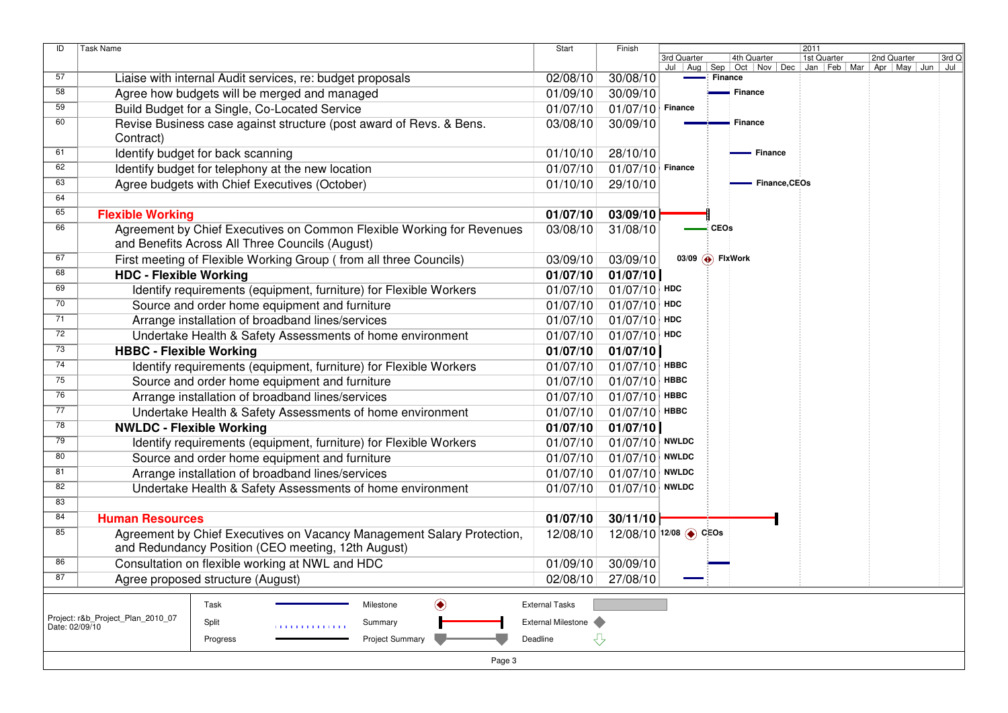| ID             | Task Name                                                                                                                    | Start              | Finish                | 2011                                                            |         |                                                        |             |       |  |  |  |
|----------------|------------------------------------------------------------------------------------------------------------------------------|--------------------|-----------------------|-----------------------------------------------------------------|---------|--------------------------------------------------------|-------------|-------|--|--|--|
|                |                                                                                                                              |                    |                       | 3rd Quarter<br>4th Quarter<br>Jul   Aug   Sep   Oct   Nov   Dec |         | 1st Quarter<br>Jan   Feb   Mar   Apr   May   Jun   Jul | 2nd Quarter | 3rd Q |  |  |  |
| 57             | Liaise with internal Audit services, re: budget proposals                                                                    | 02/08/10           | 30/08/10              |                                                                 | Finance |                                                        |             |       |  |  |  |
| 58             | Agree how budgets will be merged and managed                                                                                 | 01/09/10           | 30/09/10              |                                                                 |         | Finance                                                |             |       |  |  |  |
| 59             | Build Budget for a Single, Co-Located Service                                                                                | 01/07/10           | 01/07/10              | <b>Finance</b>                                                  |         |                                                        |             |       |  |  |  |
| 60             | Revise Business case against structure (post award of Revs. & Bens.                                                          | 03/08/10           | 30/09/10              |                                                                 |         | ■ Finance                                              |             |       |  |  |  |
|                | Contract)                                                                                                                    |                    |                       |                                                                 |         |                                                        |             |       |  |  |  |
| 61             | Identify budget for back scanning                                                                                            | 01/10/10           | 28/10/10              |                                                                 |         | - Finance                                              |             |       |  |  |  |
| 62             | Identify budget for telephony at the new location                                                                            | 01/07/10           | 01/07/10              | Finance                                                         |         |                                                        |             |       |  |  |  |
| 63             | Agree budgets with Chief Executives (October)                                                                                | 01/10/10           | 29/10/10              |                                                                 |         | - Finance, CEOs                                        |             |       |  |  |  |
| 64             |                                                                                                                              |                    |                       |                                                                 |         |                                                        |             |       |  |  |  |
| 65             | <b>Flexible Working</b>                                                                                                      | 01/07/10           | 03/09/10              |                                                                 |         |                                                        |             |       |  |  |  |
| 66             | Agreement by Chief Executives on Common Flexible Working for Revenues                                                        | 03/08/10           | 31/08/10              |                                                                 | - CEOs  |                                                        |             |       |  |  |  |
|                | and Benefits Across All Three Councils (August)                                                                              |                    |                       |                                                                 |         |                                                        |             |       |  |  |  |
| 67             | First meeting of Flexible Working Group (from all three Councils)                                                            | 03/09/10           | 03/09/10              | 03/09 $\overline{\bigoplus}$ FixWork                            |         |                                                        |             |       |  |  |  |
| 68             | <b>HDC - Flexible Working</b>                                                                                                | 01/07/10           | 01/07/10              |                                                                 |         |                                                        |             |       |  |  |  |
| 69             | Identify requirements (equipment, furniture) for Flexible Workers                                                            | 01/07/10           | $01/07/10$ HDC        |                                                                 |         |                                                        |             |       |  |  |  |
| 70             | Source and order home equipment and furniture                                                                                | 01/07/10           | 01/07/10              | HDC                                                             |         |                                                        |             |       |  |  |  |
| 71             | Arrange installation of broadband lines/services                                                                             | 01/07/10           | 01/07/10              | <b>HDC</b>                                                      |         |                                                        |             |       |  |  |  |
| 72             | Undertake Health & Safety Assessments of home environment                                                                    | 01/07/10           | 01/07/10              | HDC                                                             |         |                                                        |             |       |  |  |  |
| 73             | <b>HBBC - Flexible Working</b>                                                                                               | 01/07/10           | 01/07/10              |                                                                 |         |                                                        |             |       |  |  |  |
| 74             | Identify requirements (equipment, furniture) for Flexible Workers                                                            | 01/07/10           | 01/07/10              | <b>HBBC</b>                                                     |         |                                                        |             |       |  |  |  |
| 75             | Source and order home equipment and furniture                                                                                | 01/07/10           | 01/07/10              | <b>HBBC</b>                                                     |         |                                                        |             |       |  |  |  |
| 76             | Arrange installation of broadband lines/services                                                                             | 01/07/10           | 01/07/10              | <b>HBBC</b>                                                     |         |                                                        |             |       |  |  |  |
| 77             | Undertake Health & Safety Assessments of home environment                                                                    | 01/07/10           | 01/07/10              | <b>HBBC</b>                                                     |         |                                                        |             |       |  |  |  |
| 78             | <b>NWLDC - Flexible Working</b>                                                                                              | 01/07/10           | 01/07/10              |                                                                 |         |                                                        |             |       |  |  |  |
| 79             | Identify requirements (equipment, furniture) for Flexible Workers                                                            | 01/07/10           | $01/07/10$ NWLDC      |                                                                 |         |                                                        |             |       |  |  |  |
| 80             | Source and order home equipment and furniture                                                                                | 01/07/10           | $01/07/10$ NWLDC      |                                                                 |         |                                                        |             |       |  |  |  |
| 81             | Arrange installation of broadband lines/services                                                                             | 01/07/10           | 01/07/10              | <b>NWLDC</b>                                                    |         |                                                        |             |       |  |  |  |
| 82             | Undertake Health & Safety Assessments of home environment                                                                    | 01/07/10           | $01/07/10$ NWLDC      |                                                                 |         |                                                        |             |       |  |  |  |
| 83             |                                                                                                                              |                    |                       |                                                                 |         |                                                        |             |       |  |  |  |
| 84             | <b>Human Resources</b>                                                                                                       | 01/07/10           | 30/11/10              |                                                                 |         |                                                        |             |       |  |  |  |
| 85             | Agreement by Chief Executives on Vacancy Management Salary Protection,<br>and Redundancy Position (CEO meeting, 12th August) | 12/08/10           | 12/08/10 12/08 → CEOs |                                                                 |         |                                                        |             |       |  |  |  |
| 86             | Consultation on flexible working at NWL and HDC                                                                              | 01/09/10           | 30/09/10              |                                                                 |         |                                                        |             |       |  |  |  |
| 87             | Agree proposed structure (August)                                                                                            | 02/08/10           | 27/08/10              |                                                                 |         |                                                        |             |       |  |  |  |
|                |                                                                                                                              |                    |                       |                                                                 |         |                                                        |             |       |  |  |  |
|                | ◉<br><b>External Tasks</b><br>Task<br>Milestone                                                                              |                    |                       |                                                                 |         |                                                        |             |       |  |  |  |
| Date: 02/09/10 | Project: r&b Project Plan 2010 07<br>Split<br>Summary<br><b>11111111111111</b>                                               | External Milestone |                       |                                                                 |         |                                                        |             |       |  |  |  |

Deadline

 $\sqrt{2}$ 

Page 3

U

Project Summary

Progress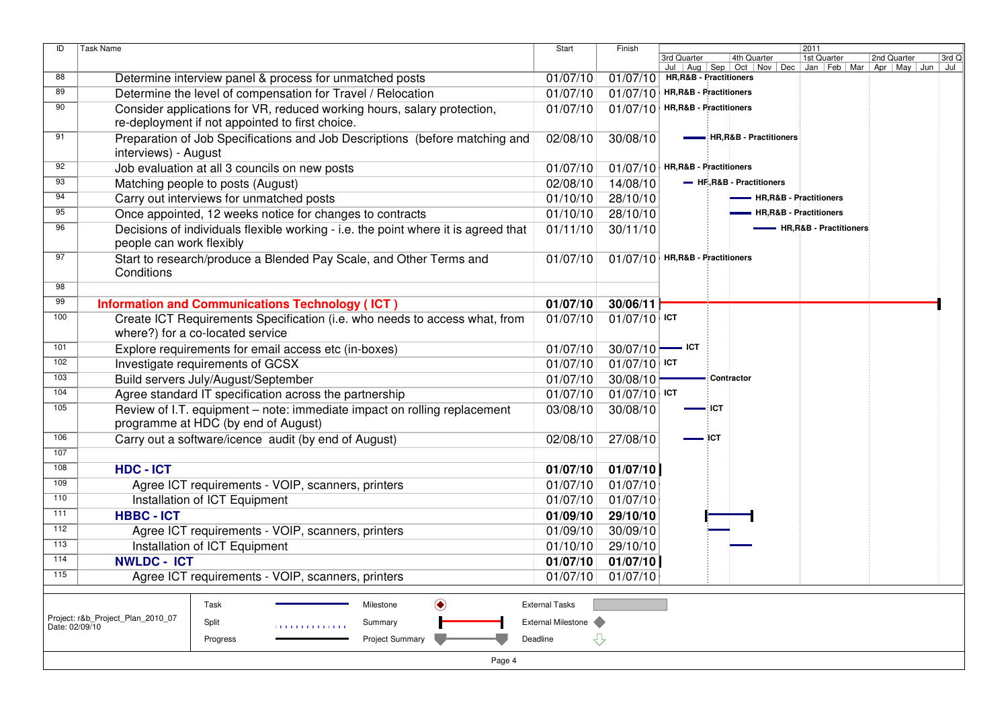| ID             | <b>Task Name</b>                                                                   | <b>Start</b>          | Finish         | 2011                                                                                                                                             |  |  |  |  |  |  |  |  |
|----------------|------------------------------------------------------------------------------------|-----------------------|----------------|--------------------------------------------------------------------------------------------------------------------------------------------------|--|--|--|--|--|--|--|--|
|                |                                                                                    |                       |                | 4th Quarter<br>1st Quarter<br>2nd Quarter<br>3rd Q<br>3rd Quarter<br>Jul   Aug   Sep   Oct   Nov   Dec   Jan   Feb   Mar   Apr   May   Jun   Jul |  |  |  |  |  |  |  |  |
| 88             | Determine interview panel & process for unmatched posts                            | 01/07/10              | 01/07/10       | HR, R&B - Practitioners                                                                                                                          |  |  |  |  |  |  |  |  |
| 89             | Determine the level of compensation for Travel / Relocation                        | 01/07/10              | 01/07/10       | HR, R&B - Practitioners                                                                                                                          |  |  |  |  |  |  |  |  |
| 90             | Consider applications for VR, reduced working hours, salary protection,            | 01/07/10              | 01/07/10       | HR, R&B - Practitioners                                                                                                                          |  |  |  |  |  |  |  |  |
|                | re-deployment if not appointed to first choice.                                    |                       |                |                                                                                                                                                  |  |  |  |  |  |  |  |  |
| 91             | Preparation of Job Specifications and Job Descriptions (before matching and        | 02/08/10              | 30/08/10       | -: HR, R&B - Practitioners                                                                                                                       |  |  |  |  |  |  |  |  |
|                | interviews) - August                                                               |                       |                |                                                                                                                                                  |  |  |  |  |  |  |  |  |
| 92             | Job evaluation at all 3 councils on new posts                                      | 01/07/10              |                | $\boxed{01/07/10}$ HR, R&B - Practitioners                                                                                                       |  |  |  |  |  |  |  |  |
| 93             | Matching people to posts (August)                                                  | 02/08/10              | 14/08/10       | - HF-R&B - Practitioners                                                                                                                         |  |  |  |  |  |  |  |  |
| 94             | Carry out interviews for unmatched posts                                           | 01/10/10              | 28/10/10       | - HR, R&B - Practitioners                                                                                                                        |  |  |  |  |  |  |  |  |
| 95             | Once appointed, 12 weeks notice for changes to contracts                           | 01/10/10              | 28/10/10       | - HR, R&B - Practitioners                                                                                                                        |  |  |  |  |  |  |  |  |
| 96             | Decisions of individuals flexible working - i.e. the point where it is agreed that | 01/11/10              | 30/11/10       | - HR, R&B - Practitioners                                                                                                                        |  |  |  |  |  |  |  |  |
|                | people can work flexibly                                                           |                       |                |                                                                                                                                                  |  |  |  |  |  |  |  |  |
| 97             | Start to research/produce a Blended Pay Scale, and Other Terms and                 | 01/07/10              |                | $01/07/10$ HR, R&B - Practitioners                                                                                                               |  |  |  |  |  |  |  |  |
|                | Conditions                                                                         |                       |                |                                                                                                                                                  |  |  |  |  |  |  |  |  |
| 98             |                                                                                    |                       |                |                                                                                                                                                  |  |  |  |  |  |  |  |  |
| 99             | <b>Information and Communications Technology (ICT)</b>                             | 01/07/10              | 30/06/11       |                                                                                                                                                  |  |  |  |  |  |  |  |  |
| 100            | Create ICT Requirements Specification (i.e. who needs to access what, from         | 01/07/10              | $01/07/10$ ICT |                                                                                                                                                  |  |  |  |  |  |  |  |  |
|                | where?) for a co-located service                                                   |                       |                |                                                                                                                                                  |  |  |  |  |  |  |  |  |
| 101            | Explore requirements for email access etc (in-boxes)                               | 01/07/10              | 30/07/10       | $=$ ICT                                                                                                                                          |  |  |  |  |  |  |  |  |
| 102            | Investigate requirements of GCSX                                                   | 01/07/10              | $01/07/10$ ICT |                                                                                                                                                  |  |  |  |  |  |  |  |  |
| 103            | Build servers July/August/September                                                | 01/07/10              | 30/08/10       | - Contractor                                                                                                                                     |  |  |  |  |  |  |  |  |
| 104            | Agree standard IT specification across the partnership                             | 01/07/10              | $01/07/10$ ICT |                                                                                                                                                  |  |  |  |  |  |  |  |  |
| 105            | Review of I.T. equipment - note: immediate impact on rolling replacement           | 03/08/10              | 30/08/10       | ∙∂ICT                                                                                                                                            |  |  |  |  |  |  |  |  |
|                | programme at HDC (by end of August)                                                |                       |                |                                                                                                                                                  |  |  |  |  |  |  |  |  |
| 106            | Carry out a software/icence audit (by end of August)                               | 02/08/10              | 27/08/10       | ЭCТ                                                                                                                                              |  |  |  |  |  |  |  |  |
| 107            |                                                                                    |                       |                |                                                                                                                                                  |  |  |  |  |  |  |  |  |
| 108            | <b>HDC - ICT</b>                                                                   | 01/07/10              | 01/07/10       |                                                                                                                                                  |  |  |  |  |  |  |  |  |
| 109            | Agree ICT requirements - VOIP, scanners, printers                                  | 01/07/10              | 01/07/10       |                                                                                                                                                  |  |  |  |  |  |  |  |  |
| 110            | Installation of ICT Equipment                                                      | 01/07/10              | 01/07/10       |                                                                                                                                                  |  |  |  |  |  |  |  |  |
| 111            | <b>HBBC - ICT</b>                                                                  | 01/09/10              | 29/10/10       |                                                                                                                                                  |  |  |  |  |  |  |  |  |
| 112            | Agree ICT requirements - VOIP, scanners, printers                                  | 01/09/10              | 30/09/10       |                                                                                                                                                  |  |  |  |  |  |  |  |  |
| 113            | Installation of ICT Equipment                                                      | 01/10/10              | 29/10/10       |                                                                                                                                                  |  |  |  |  |  |  |  |  |
| 114            | <b>NWLDC - ICT</b>                                                                 | 01/07/10              | 01/07/10       |                                                                                                                                                  |  |  |  |  |  |  |  |  |
| 115            | Agree ICT requirements - VOIP, scanners, printers                                  | 01/07/10              | 01/07/10       |                                                                                                                                                  |  |  |  |  |  |  |  |  |
|                | Task<br>Milestone                                                                  | <b>External Tasks</b> |                |                                                                                                                                                  |  |  |  |  |  |  |  |  |
|                | ◉<br>Project: r&b_Project_Plan_2010_07                                             |                       |                |                                                                                                                                                  |  |  |  |  |  |  |  |  |
| Date: 02/09/10 | Split<br>Summary<br>111111111111111                                                | External Milestone    |                |                                                                                                                                                  |  |  |  |  |  |  |  |  |
|                | <b>Project Summary</b><br>Progress                                                 | ⇩<br>Deadline         |                |                                                                                                                                                  |  |  |  |  |  |  |  |  |
|                | Page 4                                                                             |                       |                |                                                                                                                                                  |  |  |  |  |  |  |  |  |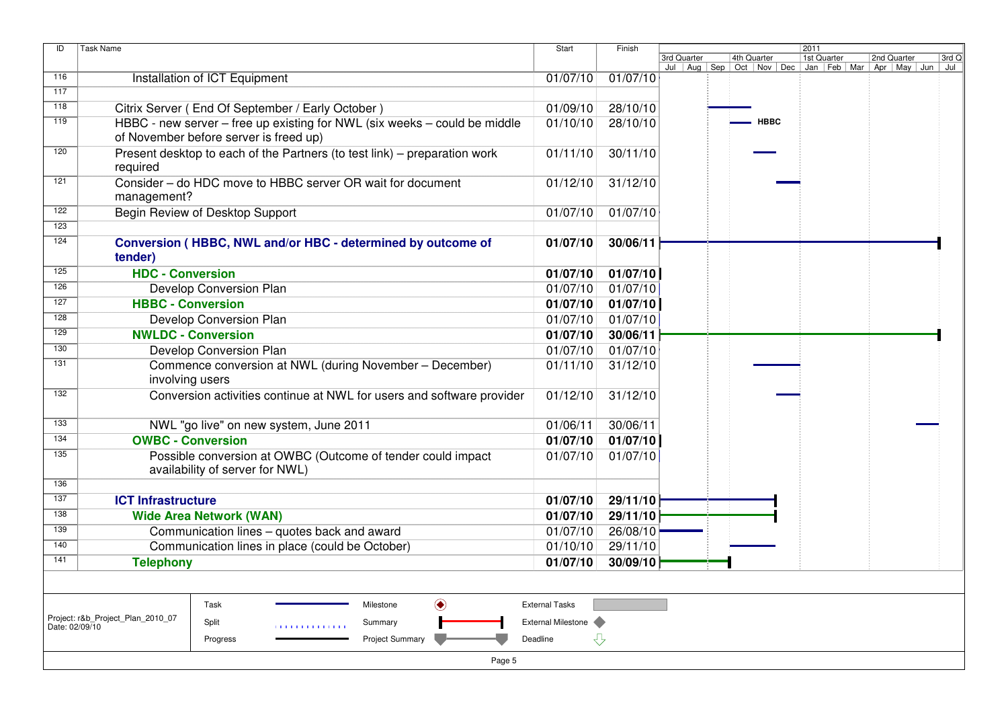| ID             | <b>Task Name</b>                                                                               | Start                                                        | Finish                |          |             | 2011                                                                                       |             |             |       |
|----------------|------------------------------------------------------------------------------------------------|--------------------------------------------------------------|-----------------------|----------|-------------|--------------------------------------------------------------------------------------------|-------------|-------------|-------|
|                |                                                                                                |                                                              |                       |          | 3rd Quarter | 4th Quarter<br>Jul   Aug   Sep   Oct   Nov   Dec   Jan   Feb   Mar   Apr   May   Jun   Jul | 1st Quarter | 2nd Quarter | 3rd Q |
| 116            | Installation of ICT Equipment                                                                  |                                                              | 01/07/10              | 01/07/10 |             |                                                                                            |             |             |       |
| 117            |                                                                                                |                                                              |                       |          |             |                                                                                            |             |             |       |
| 118            | Citrix Server (End Of September / Early October)                                               |                                                              | 01/09/10              | 28/10/10 |             |                                                                                            |             |             |       |
| 119            | HBBC - new server - free up existing for NWL (six weeks - could be middle                      |                                                              | 01/10/10              | 28/10/10 |             | <b>HBBC</b>                                                                                |             |             |       |
|                | of November before server is freed up)                                                         |                                                              |                       |          |             |                                                                                            |             |             |       |
| 120            | Present desktop to each of the Partners (to test link) – preparation work<br>required          |                                                              | 01/11/10              | 30/11/10 |             |                                                                                            |             |             |       |
| 121            | Consider - do HDC move to HBBC server OR wait for document<br>management?                      |                                                              | 01/12/10              | 31/12/10 |             |                                                                                            |             |             |       |
| 122            | Begin Review of Desktop Support                                                                |                                                              | 01/07/10              | 01/07/10 |             |                                                                                            |             |             |       |
| 123            |                                                                                                |                                                              |                       |          |             |                                                                                            |             |             |       |
| 124            | Conversion (HBBC, NWL and/or HBC - determined by outcome of<br>tender)                         | 01/07/10                                                     | 30/06/11              |          |             |                                                                                            |             |             |       |
| 125            | <b>HDC - Conversion</b>                                                                        |                                                              | 01/07/10              | 01/07/10 |             |                                                                                            |             |             |       |
| 126            | Develop Conversion Plan                                                                        |                                                              | 01/07/10              | 01/07/10 |             |                                                                                            |             |             |       |
| 127            | <b>HBBC - Conversion</b>                                                                       |                                                              | 01/07/10              | 01/07/10 |             |                                                                                            |             |             |       |
| 128            | Develop Conversion Plan                                                                        |                                                              | 01/07/10              | 01/07/10 |             |                                                                                            |             |             |       |
| 129            | <b>NWLDC - Conversion</b>                                                                      |                                                              | 01/07/10              | 30/06/11 |             |                                                                                            |             |             |       |
| 130            | Develop Conversion Plan                                                                        |                                                              | 01/07/10              | 01/07/10 |             |                                                                                            |             |             |       |
| 131            | Commence conversion at NWL (during November - December)<br>involving users                     | 01/11/10                                                     | 31/12/10              |          |             |                                                                                            |             |             |       |
| 132            | Conversion activities continue at NWL for users and software provider                          |                                                              | 01/12/10              | 31/12/10 |             |                                                                                            |             |             |       |
| 133            | NWL "go live" on new system, June 2011                                                         |                                                              | 01/06/11              | 30/06/11 |             |                                                                                            |             |             |       |
| 134            | <b>OWBC - Conversion</b>                                                                       |                                                              | 01/07/10              | 01/07/10 |             |                                                                                            |             |             |       |
| 135            | Possible conversion at OWBC (Outcome of tender could impact<br>availability of server for NWL) |                                                              | 01/07/10              | 01/07/10 |             |                                                                                            |             |             |       |
| 136            |                                                                                                |                                                              |                       |          |             |                                                                                            |             |             |       |
| 137            | <b>ICT Infrastructure</b>                                                                      |                                                              | 01/07/10              | 29/11/10 |             |                                                                                            |             |             |       |
| 138            | <b>Wide Area Network (WAN)</b>                                                                 |                                                              | 01/07/10              | 29/11/10 |             |                                                                                            |             |             |       |
| 139            | Communication lines - quotes back and award                                                    |                                                              | 01/07/10              | 26/08/10 |             |                                                                                            |             |             |       |
| 140            | Communication lines in place (could be October)                                                |                                                              | 01/10/10              | 29/11/10 |             |                                                                                            |             |             |       |
| 141            | <b>Telephony</b>                                                                               |                                                              | 01/07/10              | 30/09/10 |             |                                                                                            |             |             |       |
|                |                                                                                                |                                                              |                       |          |             |                                                                                            |             |             |       |
|                | Task                                                                                           | $\textcolor{blue}{\textcircled{\blacklozenge}}$<br>Milestone | <b>External Tasks</b> |          |             |                                                                                            |             |             |       |
| Date: 02/09/10 | Project: r&b_Project_Plan_2010_07<br>Split<br>11111111111111                                   | Summary                                                      | External Milestone    |          |             |                                                                                            |             |             |       |
|                | Progress                                                                                       | Deadline                                                     | ⇩                     |          |             |                                                                                            |             |             |       |
|                |                                                                                                | <b>Project Summary</b><br>Page 5                             |                       |          |             |                                                                                            |             |             |       |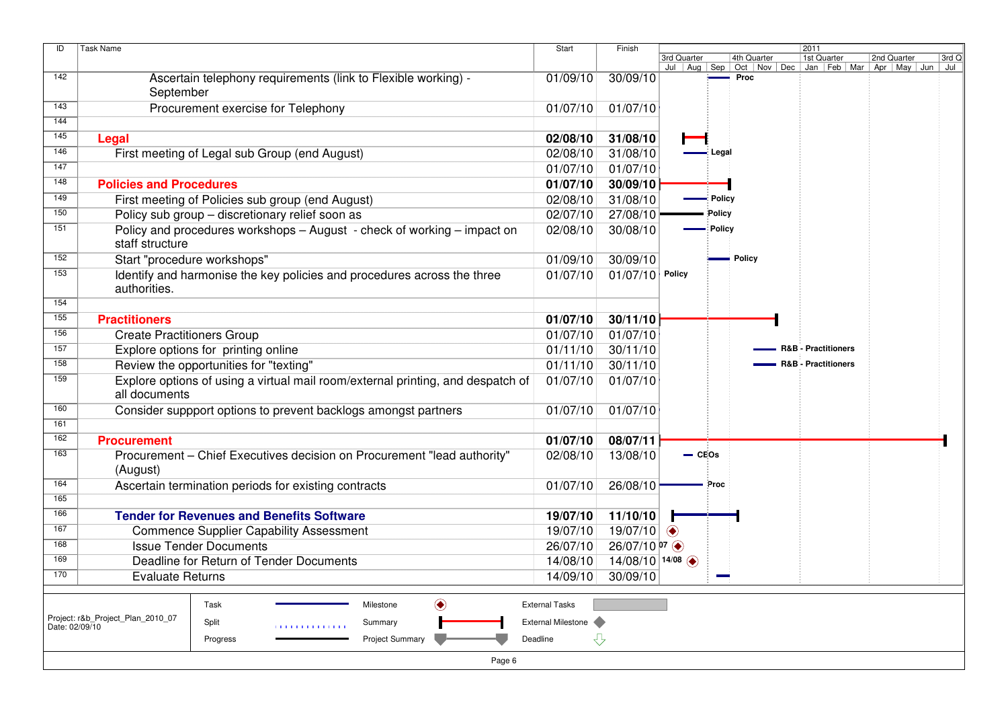| ID             | <b>Task Name</b>                                                                                 | Start                     | Finish                |                                |          |             | 2011                  |                                                                          |       |
|----------------|--------------------------------------------------------------------------------------------------|---------------------------|-----------------------|--------------------------------|----------|-------------|-----------------------|--------------------------------------------------------------------------|-------|
|                |                                                                                                  |                           |                       | 3rd Quarter<br>Jul   Aug   Sep |          | 4th Quarter | 1st Quarter           | 2nd Quarter<br>Oct   Nov   Dec   Jan   Feb   Mar   Apr   May   Jun   Jul | 3rd Q |
| 142            | Ascertain telephony requirements (link to Flexible working) -<br>September                       | 01/09/10                  | 30/09/10              |                                |          | Proc        |                       |                                                                          |       |
| 143            | Procurement exercise for Telephony                                                               | 01/07/10                  | 01/07/10              |                                |          |             |                       |                                                                          |       |
| 144            |                                                                                                  |                           |                       |                                |          |             |                       |                                                                          |       |
| 145            | Legal                                                                                            | 02/08/10                  | 31/08/10              |                                |          |             |                       |                                                                          |       |
| 146            | First meeting of Legal sub Group (end August)                                                    | 02/08/10                  | 31/08/10              |                                | : Legal  |             |                       |                                                                          |       |
| 147            |                                                                                                  | 01/07/10                  | 01/07/10              |                                |          |             |                       |                                                                          |       |
| 148            | <b>Policies and Procedures</b>                                                                   | 01/07/10                  | 30/09/10              |                                |          |             |                       |                                                                          |       |
| 149            | First meeting of Policies sub group (end August)                                                 | 02/08/10                  | 31/08/10              |                                | : Policy |             |                       |                                                                          |       |
| 150            | Policy sub group - discretionary relief soon as                                                  | 02/07/10                  | 27/08/10              |                                | Policy   |             |                       |                                                                          |       |
| 151            | Policy and procedures workshops - August - check of working - impact on<br>staff structure       | 02/08/10                  | 30/08/10              |                                | - Policy |             |                       |                                                                          |       |
| 152            | Start "procedure workshops"                                                                      | 01/09/10                  | 30/09/10              |                                |          | ≡ Policy    |                       |                                                                          |       |
| 153            | Identify and harmonise the key policies and procedures across the three<br>authorities.          | 01/07/10                  | 01/07/10              | Policy                         |          |             |                       |                                                                          |       |
| 154            |                                                                                                  |                           |                       |                                |          |             |                       |                                                                          |       |
| 155            | <b>Practitioners</b>                                                                             | 01/07/10                  | 30/11/10              |                                |          |             |                       |                                                                          |       |
| 156            | <b>Create Practitioners Group</b>                                                                | 01/07/10                  | 01/07/10              |                                |          |             |                       |                                                                          |       |
| 157            | Explore options for printing online                                                              | 01/11/10                  | 30/11/10              |                                |          |             | - R&B - Practitioners |                                                                          |       |
| 158            | Review the opportunities for "texting"                                                           | 01/11/10                  | 30/11/10              |                                |          |             | - R&B - Practitioners |                                                                          |       |
| 159            | Explore options of using a virtual mail room/external printing, and despatch of<br>all documents | 01/07/10                  | 01/07/10              |                                |          |             |                       |                                                                          |       |
| 160            | Consider suppport options to prevent backlogs amongst partners                                   | 01/07/10                  | 01/07/10              |                                |          |             |                       |                                                                          |       |
| 161            |                                                                                                  |                           |                       |                                |          |             |                       |                                                                          |       |
| 162            | <b>Procurement</b>                                                                               | 01/07/10                  | 08/07/11              |                                |          |             |                       |                                                                          |       |
| 163            | Procurement - Chief Executives decision on Procurement "lead authority"<br>(August)              | 02/08/10                  | 13/08/10              |                                | $-CEOS$  |             |                       |                                                                          |       |
| 164            | Ascertain termination periods for existing contracts                                             | 01/07/10                  | 26/08/10              |                                | Proc     |             |                       |                                                                          |       |
| 165            |                                                                                                  |                           |                       |                                |          |             |                       |                                                                          |       |
| 166            | <b>Tender for Revenues and Benefits Software</b>                                                 | 19/07/10                  | 11/10/10              |                                |          |             |                       |                                                                          |       |
| 167            | <b>Commence Supplier Capability Assessment</b>                                                   | 19/07/10                  | 19/07/10              | $\bullet$                      |          |             |                       |                                                                          |       |
| 168            | <b>Issue Tender Documents</b>                                                                    | 26/07/10                  | $26/07/10$ p7 $\odot$ |                                |          |             |                       |                                                                          |       |
| 169            | Deadline for Return of Tender Documents                                                          | 14/08/10                  | 14/08/10 14/08        |                                |          |             |                       |                                                                          |       |
| 170            | <b>Evaluate Returns</b>                                                                          | 14/09/10                  | 30/09/10              |                                |          |             |                       |                                                                          |       |
|                | ◉<br>Task<br>Milestone                                                                           | <b>External Tasks</b>     |                       |                                |          |             |                       |                                                                          |       |
|                | Project: r&b Project Plan 2010 07                                                                |                           |                       |                                |          |             |                       |                                                                          |       |
| Date: 02/09/10 | Split<br>Summary<br>1111111111111111                                                             | <b>External Milestone</b> |                       |                                |          |             |                       |                                                                          |       |
|                | <b>Project Summary</b><br>Progress                                                               | Deadline                  | ⇩                     |                                |          |             |                       |                                                                          |       |
|                | Page 6                                                                                           |                           |                       |                                |          |             |                       |                                                                          |       |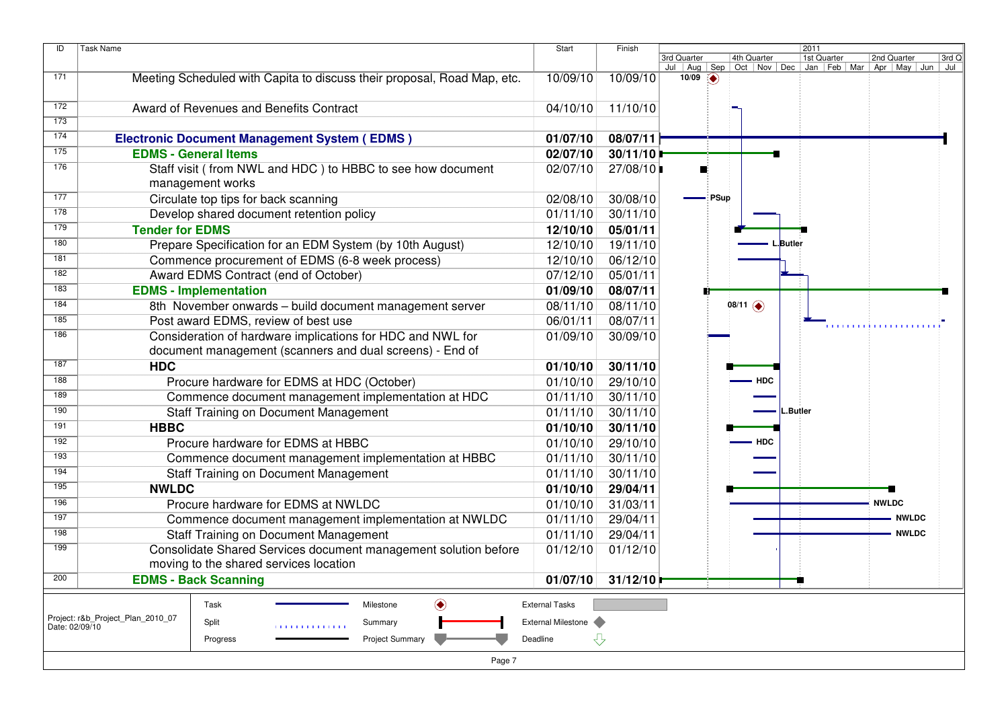| 4th Quarter<br>3rd Q<br>3rd Quarter<br>1st Quarter<br>2nd Quarter<br>Jul   Aug   Sep<br>Oct   Nov   Dec   Jan   Feb   Mar   Apr   May   Jun   Jul<br>171<br>Meeting Scheduled with Capita to discuss their proposal, Road Map, etc.<br>10/09/10<br>10/09/10<br>$10/09$ $\Rightarrow$<br>172<br>Award of Revenues and Benefits Contract<br>04/10/10<br>11/10/10<br>173<br>174<br>08/07/11<br><b>Electronic Document Management System (EDMS)</b><br>01/07/10<br>175<br>02/07/10<br>30/11/10<br><b>EDMS - General Items</b><br>176<br>Staff visit (from NWL and HDC) to HBBC to see how document<br>02/07/10<br>27/08/10<br>management works<br>177<br>Circulate top tips for back scanning<br>30/08/10<br>∎: PSup<br>02/08/10<br>178<br>30/11/10<br>Develop shared document retention policy<br>01/11/10<br>179<br>12/10/10<br>05/01/11<br><b>Tender for EDMS</b><br>180<br>Prepare Specification for an EDM System (by 10th August)<br>12/10/10<br>19/11/10<br>.Butler<br>181<br>Commence procurement of EDMS (6-8 week process)<br>06/12/10<br>12/10/10<br>182<br>Award EDMS Contract (end of October)<br>07/12/10<br>05/01/11<br>183<br>08/07/11<br><b>EDMS - Implementation</b><br>01/09/10<br>184<br>8th November onwards - build document management server<br>08/11/10<br>$08/11$ $\bullet$<br>08/11/10<br>185<br>08/07/11<br>Post award EDMS, review of best use<br>06/01/11<br>186<br>Consideration of hardware implications for HDC and NWL for<br>30/09/10<br>01/09/10<br>document management (scanners and dual screens) - End of<br>187<br><b>HDC</b><br>01/10/10<br>30/11/10<br>188<br>29/10/10<br>Procure hardware for EDMS at HDC (October)<br>01/10/10<br><b>HDC</b><br>189<br>Commence document management implementation at HDC<br>30/11/10<br>01/11/10<br>190<br>30/11/10<br><b>Staff Training on Document Management</b><br>01/11/10<br>.Butler<br>191<br><b>HBBC</b><br>30/11/10<br>01/10/10<br>192<br>Procure hardware for EDMS at HBBC<br>01/10/10<br>29/10/10<br><b>HDC</b><br>193<br>Commence document management implementation at HBBC<br>30/11/10<br>01/11/10<br>194<br>01/11/10<br>30/11/10<br><b>Staff Training on Document Management</b><br>195<br><b>NWLDC</b><br>01/10/10<br>29/04/11<br>196<br>Procure hardware for EDMS at NWLDC<br>01/10/10<br>31/03/11<br><b>NWLDC</b><br>197<br>01/11/10<br>29/04/11<br><b>NWLDC</b><br>Commence document management implementation at NWLDC<br>198<br><b>Staff Training on Document Management</b><br>01/11/10<br>29/04/11<br><b>NWLDC</b><br>199<br>Consolidate Shared Services document management solution before<br>01/12/10<br>01/12/10<br>moving to the shared services location<br>200<br><b>EDMS - Back Scanning</b><br>01/07/10<br>31/12/10<br>÷.<br><b>External Tasks</b><br>Task<br>Milestone<br>◉<br>Project: r&b_Project_Plan_2010_07<br><b>External Milestone</b><br>Split<br>Summary<br>Date: 02/09/10<br>111111111111111<br>⇩<br>Deadline | ID | <b>Task Name</b>                   | <b>Start</b> | Finish | 2011 |  |  |  |  |  |  |  |  |  |
|-----------------------------------------------------------------------------------------------------------------------------------------------------------------------------------------------------------------------------------------------------------------------------------------------------------------------------------------------------------------------------------------------------------------------------------------------------------------------------------------------------------------------------------------------------------------------------------------------------------------------------------------------------------------------------------------------------------------------------------------------------------------------------------------------------------------------------------------------------------------------------------------------------------------------------------------------------------------------------------------------------------------------------------------------------------------------------------------------------------------------------------------------------------------------------------------------------------------------------------------------------------------------------------------------------------------------------------------------------------------------------------------------------------------------------------------------------------------------------------------------------------------------------------------------------------------------------------------------------------------------------------------------------------------------------------------------------------------------------------------------------------------------------------------------------------------------------------------------------------------------------------------------------------------------------------------------------------------------------------------------------------------------------------------------------------------------------------------------------------------------------------------------------------------------------------------------------------------------------------------------------------------------------------------------------------------------------------------------------------------------------------------------------------------------------------------------------------------------------------------------------------------------------------------------------------------------------------------------------------------------------------------------------------------------------------------------------------------------------------------------------------------------------------------------------------------------------------------------------------------------------------------------------------------------------------|----|------------------------------------|--------------|--------|------|--|--|--|--|--|--|--|--|--|
|                                                                                                                                                                                                                                                                                                                                                                                                                                                                                                                                                                                                                                                                                                                                                                                                                                                                                                                                                                                                                                                                                                                                                                                                                                                                                                                                                                                                                                                                                                                                                                                                                                                                                                                                                                                                                                                                                                                                                                                                                                                                                                                                                                                                                                                                                                                                                                                                                                                                                                                                                                                                                                                                                                                                                                                                                                                                                                                                   |    |                                    |              |        |      |  |  |  |  |  |  |  |  |  |
|                                                                                                                                                                                                                                                                                                                                                                                                                                                                                                                                                                                                                                                                                                                                                                                                                                                                                                                                                                                                                                                                                                                                                                                                                                                                                                                                                                                                                                                                                                                                                                                                                                                                                                                                                                                                                                                                                                                                                                                                                                                                                                                                                                                                                                                                                                                                                                                                                                                                                                                                                                                                                                                                                                                                                                                                                                                                                                                                   |    |                                    |              |        |      |  |  |  |  |  |  |  |  |  |
|                                                                                                                                                                                                                                                                                                                                                                                                                                                                                                                                                                                                                                                                                                                                                                                                                                                                                                                                                                                                                                                                                                                                                                                                                                                                                                                                                                                                                                                                                                                                                                                                                                                                                                                                                                                                                                                                                                                                                                                                                                                                                                                                                                                                                                                                                                                                                                                                                                                                                                                                                                                                                                                                                                                                                                                                                                                                                                                                   |    |                                    |              |        |      |  |  |  |  |  |  |  |  |  |
|                                                                                                                                                                                                                                                                                                                                                                                                                                                                                                                                                                                                                                                                                                                                                                                                                                                                                                                                                                                                                                                                                                                                                                                                                                                                                                                                                                                                                                                                                                                                                                                                                                                                                                                                                                                                                                                                                                                                                                                                                                                                                                                                                                                                                                                                                                                                                                                                                                                                                                                                                                                                                                                                                                                                                                                                                                                                                                                                   |    |                                    |              |        |      |  |  |  |  |  |  |  |  |  |
|                                                                                                                                                                                                                                                                                                                                                                                                                                                                                                                                                                                                                                                                                                                                                                                                                                                                                                                                                                                                                                                                                                                                                                                                                                                                                                                                                                                                                                                                                                                                                                                                                                                                                                                                                                                                                                                                                                                                                                                                                                                                                                                                                                                                                                                                                                                                                                                                                                                                                                                                                                                                                                                                                                                                                                                                                                                                                                                                   |    |                                    |              |        |      |  |  |  |  |  |  |  |  |  |
|                                                                                                                                                                                                                                                                                                                                                                                                                                                                                                                                                                                                                                                                                                                                                                                                                                                                                                                                                                                                                                                                                                                                                                                                                                                                                                                                                                                                                                                                                                                                                                                                                                                                                                                                                                                                                                                                                                                                                                                                                                                                                                                                                                                                                                                                                                                                                                                                                                                                                                                                                                                                                                                                                                                                                                                                                                                                                                                                   |    |                                    |              |        |      |  |  |  |  |  |  |  |  |  |
|                                                                                                                                                                                                                                                                                                                                                                                                                                                                                                                                                                                                                                                                                                                                                                                                                                                                                                                                                                                                                                                                                                                                                                                                                                                                                                                                                                                                                                                                                                                                                                                                                                                                                                                                                                                                                                                                                                                                                                                                                                                                                                                                                                                                                                                                                                                                                                                                                                                                                                                                                                                                                                                                                                                                                                                                                                                                                                                                   |    |                                    |              |        |      |  |  |  |  |  |  |  |  |  |
|                                                                                                                                                                                                                                                                                                                                                                                                                                                                                                                                                                                                                                                                                                                                                                                                                                                                                                                                                                                                                                                                                                                                                                                                                                                                                                                                                                                                                                                                                                                                                                                                                                                                                                                                                                                                                                                                                                                                                                                                                                                                                                                                                                                                                                                                                                                                                                                                                                                                                                                                                                                                                                                                                                                                                                                                                                                                                                                                   |    |                                    |              |        |      |  |  |  |  |  |  |  |  |  |
|                                                                                                                                                                                                                                                                                                                                                                                                                                                                                                                                                                                                                                                                                                                                                                                                                                                                                                                                                                                                                                                                                                                                                                                                                                                                                                                                                                                                                                                                                                                                                                                                                                                                                                                                                                                                                                                                                                                                                                                                                                                                                                                                                                                                                                                                                                                                                                                                                                                                                                                                                                                                                                                                                                                                                                                                                                                                                                                                   |    |                                    |              |        |      |  |  |  |  |  |  |  |  |  |
|                                                                                                                                                                                                                                                                                                                                                                                                                                                                                                                                                                                                                                                                                                                                                                                                                                                                                                                                                                                                                                                                                                                                                                                                                                                                                                                                                                                                                                                                                                                                                                                                                                                                                                                                                                                                                                                                                                                                                                                                                                                                                                                                                                                                                                                                                                                                                                                                                                                                                                                                                                                                                                                                                                                                                                                                                                                                                                                                   |    |                                    |              |        |      |  |  |  |  |  |  |  |  |  |
|                                                                                                                                                                                                                                                                                                                                                                                                                                                                                                                                                                                                                                                                                                                                                                                                                                                                                                                                                                                                                                                                                                                                                                                                                                                                                                                                                                                                                                                                                                                                                                                                                                                                                                                                                                                                                                                                                                                                                                                                                                                                                                                                                                                                                                                                                                                                                                                                                                                                                                                                                                                                                                                                                                                                                                                                                                                                                                                                   |    |                                    |              |        |      |  |  |  |  |  |  |  |  |  |
|                                                                                                                                                                                                                                                                                                                                                                                                                                                                                                                                                                                                                                                                                                                                                                                                                                                                                                                                                                                                                                                                                                                                                                                                                                                                                                                                                                                                                                                                                                                                                                                                                                                                                                                                                                                                                                                                                                                                                                                                                                                                                                                                                                                                                                                                                                                                                                                                                                                                                                                                                                                                                                                                                                                                                                                                                                                                                                                                   |    |                                    |              |        |      |  |  |  |  |  |  |  |  |  |
|                                                                                                                                                                                                                                                                                                                                                                                                                                                                                                                                                                                                                                                                                                                                                                                                                                                                                                                                                                                                                                                                                                                                                                                                                                                                                                                                                                                                                                                                                                                                                                                                                                                                                                                                                                                                                                                                                                                                                                                                                                                                                                                                                                                                                                                                                                                                                                                                                                                                                                                                                                                                                                                                                                                                                                                                                                                                                                                                   |    |                                    |              |        |      |  |  |  |  |  |  |  |  |  |
|                                                                                                                                                                                                                                                                                                                                                                                                                                                                                                                                                                                                                                                                                                                                                                                                                                                                                                                                                                                                                                                                                                                                                                                                                                                                                                                                                                                                                                                                                                                                                                                                                                                                                                                                                                                                                                                                                                                                                                                                                                                                                                                                                                                                                                                                                                                                                                                                                                                                                                                                                                                                                                                                                                                                                                                                                                                                                                                                   |    |                                    |              |        |      |  |  |  |  |  |  |  |  |  |
|                                                                                                                                                                                                                                                                                                                                                                                                                                                                                                                                                                                                                                                                                                                                                                                                                                                                                                                                                                                                                                                                                                                                                                                                                                                                                                                                                                                                                                                                                                                                                                                                                                                                                                                                                                                                                                                                                                                                                                                                                                                                                                                                                                                                                                                                                                                                                                                                                                                                                                                                                                                                                                                                                                                                                                                                                                                                                                                                   |    |                                    |              |        |      |  |  |  |  |  |  |  |  |  |
|                                                                                                                                                                                                                                                                                                                                                                                                                                                                                                                                                                                                                                                                                                                                                                                                                                                                                                                                                                                                                                                                                                                                                                                                                                                                                                                                                                                                                                                                                                                                                                                                                                                                                                                                                                                                                                                                                                                                                                                                                                                                                                                                                                                                                                                                                                                                                                                                                                                                                                                                                                                                                                                                                                                                                                                                                                                                                                                                   |    |                                    |              |        |      |  |  |  |  |  |  |  |  |  |
|                                                                                                                                                                                                                                                                                                                                                                                                                                                                                                                                                                                                                                                                                                                                                                                                                                                                                                                                                                                                                                                                                                                                                                                                                                                                                                                                                                                                                                                                                                                                                                                                                                                                                                                                                                                                                                                                                                                                                                                                                                                                                                                                                                                                                                                                                                                                                                                                                                                                                                                                                                                                                                                                                                                                                                                                                                                                                                                                   |    |                                    |              |        |      |  |  |  |  |  |  |  |  |  |
|                                                                                                                                                                                                                                                                                                                                                                                                                                                                                                                                                                                                                                                                                                                                                                                                                                                                                                                                                                                                                                                                                                                                                                                                                                                                                                                                                                                                                                                                                                                                                                                                                                                                                                                                                                                                                                                                                                                                                                                                                                                                                                                                                                                                                                                                                                                                                                                                                                                                                                                                                                                                                                                                                                                                                                                                                                                                                                                                   |    |                                    |              |        |      |  |  |  |  |  |  |  |  |  |
|                                                                                                                                                                                                                                                                                                                                                                                                                                                                                                                                                                                                                                                                                                                                                                                                                                                                                                                                                                                                                                                                                                                                                                                                                                                                                                                                                                                                                                                                                                                                                                                                                                                                                                                                                                                                                                                                                                                                                                                                                                                                                                                                                                                                                                                                                                                                                                                                                                                                                                                                                                                                                                                                                                                                                                                                                                                                                                                                   |    |                                    |              |        |      |  |  |  |  |  |  |  |  |  |
|                                                                                                                                                                                                                                                                                                                                                                                                                                                                                                                                                                                                                                                                                                                                                                                                                                                                                                                                                                                                                                                                                                                                                                                                                                                                                                                                                                                                                                                                                                                                                                                                                                                                                                                                                                                                                                                                                                                                                                                                                                                                                                                                                                                                                                                                                                                                                                                                                                                                                                                                                                                                                                                                                                                                                                                                                                                                                                                                   |    |                                    |              |        |      |  |  |  |  |  |  |  |  |  |
|                                                                                                                                                                                                                                                                                                                                                                                                                                                                                                                                                                                                                                                                                                                                                                                                                                                                                                                                                                                                                                                                                                                                                                                                                                                                                                                                                                                                                                                                                                                                                                                                                                                                                                                                                                                                                                                                                                                                                                                                                                                                                                                                                                                                                                                                                                                                                                                                                                                                                                                                                                                                                                                                                                                                                                                                                                                                                                                                   |    |                                    |              |        |      |  |  |  |  |  |  |  |  |  |
|                                                                                                                                                                                                                                                                                                                                                                                                                                                                                                                                                                                                                                                                                                                                                                                                                                                                                                                                                                                                                                                                                                                                                                                                                                                                                                                                                                                                                                                                                                                                                                                                                                                                                                                                                                                                                                                                                                                                                                                                                                                                                                                                                                                                                                                                                                                                                                                                                                                                                                                                                                                                                                                                                                                                                                                                                                                                                                                                   |    |                                    |              |        |      |  |  |  |  |  |  |  |  |  |
|                                                                                                                                                                                                                                                                                                                                                                                                                                                                                                                                                                                                                                                                                                                                                                                                                                                                                                                                                                                                                                                                                                                                                                                                                                                                                                                                                                                                                                                                                                                                                                                                                                                                                                                                                                                                                                                                                                                                                                                                                                                                                                                                                                                                                                                                                                                                                                                                                                                                                                                                                                                                                                                                                                                                                                                                                                                                                                                                   |    |                                    |              |        |      |  |  |  |  |  |  |  |  |  |
|                                                                                                                                                                                                                                                                                                                                                                                                                                                                                                                                                                                                                                                                                                                                                                                                                                                                                                                                                                                                                                                                                                                                                                                                                                                                                                                                                                                                                                                                                                                                                                                                                                                                                                                                                                                                                                                                                                                                                                                                                                                                                                                                                                                                                                                                                                                                                                                                                                                                                                                                                                                                                                                                                                                                                                                                                                                                                                                                   |    |                                    |              |        |      |  |  |  |  |  |  |  |  |  |
|                                                                                                                                                                                                                                                                                                                                                                                                                                                                                                                                                                                                                                                                                                                                                                                                                                                                                                                                                                                                                                                                                                                                                                                                                                                                                                                                                                                                                                                                                                                                                                                                                                                                                                                                                                                                                                                                                                                                                                                                                                                                                                                                                                                                                                                                                                                                                                                                                                                                                                                                                                                                                                                                                                                                                                                                                                                                                                                                   |    |                                    |              |        |      |  |  |  |  |  |  |  |  |  |
|                                                                                                                                                                                                                                                                                                                                                                                                                                                                                                                                                                                                                                                                                                                                                                                                                                                                                                                                                                                                                                                                                                                                                                                                                                                                                                                                                                                                                                                                                                                                                                                                                                                                                                                                                                                                                                                                                                                                                                                                                                                                                                                                                                                                                                                                                                                                                                                                                                                                                                                                                                                                                                                                                                                                                                                                                                                                                                                                   |    |                                    |              |        |      |  |  |  |  |  |  |  |  |  |
|                                                                                                                                                                                                                                                                                                                                                                                                                                                                                                                                                                                                                                                                                                                                                                                                                                                                                                                                                                                                                                                                                                                                                                                                                                                                                                                                                                                                                                                                                                                                                                                                                                                                                                                                                                                                                                                                                                                                                                                                                                                                                                                                                                                                                                                                                                                                                                                                                                                                                                                                                                                                                                                                                                                                                                                                                                                                                                                                   |    |                                    |              |        |      |  |  |  |  |  |  |  |  |  |
|                                                                                                                                                                                                                                                                                                                                                                                                                                                                                                                                                                                                                                                                                                                                                                                                                                                                                                                                                                                                                                                                                                                                                                                                                                                                                                                                                                                                                                                                                                                                                                                                                                                                                                                                                                                                                                                                                                                                                                                                                                                                                                                                                                                                                                                                                                                                                                                                                                                                                                                                                                                                                                                                                                                                                                                                                                                                                                                                   |    |                                    |              |        |      |  |  |  |  |  |  |  |  |  |
|                                                                                                                                                                                                                                                                                                                                                                                                                                                                                                                                                                                                                                                                                                                                                                                                                                                                                                                                                                                                                                                                                                                                                                                                                                                                                                                                                                                                                                                                                                                                                                                                                                                                                                                                                                                                                                                                                                                                                                                                                                                                                                                                                                                                                                                                                                                                                                                                                                                                                                                                                                                                                                                                                                                                                                                                                                                                                                                                   |    |                                    |              |        |      |  |  |  |  |  |  |  |  |  |
|                                                                                                                                                                                                                                                                                                                                                                                                                                                                                                                                                                                                                                                                                                                                                                                                                                                                                                                                                                                                                                                                                                                                                                                                                                                                                                                                                                                                                                                                                                                                                                                                                                                                                                                                                                                                                                                                                                                                                                                                                                                                                                                                                                                                                                                                                                                                                                                                                                                                                                                                                                                                                                                                                                                                                                                                                                                                                                                                   |    |                                    |              |        |      |  |  |  |  |  |  |  |  |  |
|                                                                                                                                                                                                                                                                                                                                                                                                                                                                                                                                                                                                                                                                                                                                                                                                                                                                                                                                                                                                                                                                                                                                                                                                                                                                                                                                                                                                                                                                                                                                                                                                                                                                                                                                                                                                                                                                                                                                                                                                                                                                                                                                                                                                                                                                                                                                                                                                                                                                                                                                                                                                                                                                                                                                                                                                                                                                                                                                   |    |                                    |              |        |      |  |  |  |  |  |  |  |  |  |
|                                                                                                                                                                                                                                                                                                                                                                                                                                                                                                                                                                                                                                                                                                                                                                                                                                                                                                                                                                                                                                                                                                                                                                                                                                                                                                                                                                                                                                                                                                                                                                                                                                                                                                                                                                                                                                                                                                                                                                                                                                                                                                                                                                                                                                                                                                                                                                                                                                                                                                                                                                                                                                                                                                                                                                                                                                                                                                                                   |    |                                    |              |        |      |  |  |  |  |  |  |  |  |  |
|                                                                                                                                                                                                                                                                                                                                                                                                                                                                                                                                                                                                                                                                                                                                                                                                                                                                                                                                                                                                                                                                                                                                                                                                                                                                                                                                                                                                                                                                                                                                                                                                                                                                                                                                                                                                                                                                                                                                                                                                                                                                                                                                                                                                                                                                                                                                                                                                                                                                                                                                                                                                                                                                                                                                                                                                                                                                                                                                   |    |                                    |              |        |      |  |  |  |  |  |  |  |  |  |
|                                                                                                                                                                                                                                                                                                                                                                                                                                                                                                                                                                                                                                                                                                                                                                                                                                                                                                                                                                                                                                                                                                                                                                                                                                                                                                                                                                                                                                                                                                                                                                                                                                                                                                                                                                                                                                                                                                                                                                                                                                                                                                                                                                                                                                                                                                                                                                                                                                                                                                                                                                                                                                                                                                                                                                                                                                                                                                                                   |    |                                    |              |        |      |  |  |  |  |  |  |  |  |  |
|                                                                                                                                                                                                                                                                                                                                                                                                                                                                                                                                                                                                                                                                                                                                                                                                                                                                                                                                                                                                                                                                                                                                                                                                                                                                                                                                                                                                                                                                                                                                                                                                                                                                                                                                                                                                                                                                                                                                                                                                                                                                                                                                                                                                                                                                                                                                                                                                                                                                                                                                                                                                                                                                                                                                                                                                                                                                                                                                   |    |                                    |              |        |      |  |  |  |  |  |  |  |  |  |
|                                                                                                                                                                                                                                                                                                                                                                                                                                                                                                                                                                                                                                                                                                                                                                                                                                                                                                                                                                                                                                                                                                                                                                                                                                                                                                                                                                                                                                                                                                                                                                                                                                                                                                                                                                                                                                                                                                                                                                                                                                                                                                                                                                                                                                                                                                                                                                                                                                                                                                                                                                                                                                                                                                                                                                                                                                                                                                                                   |    |                                    |              |        |      |  |  |  |  |  |  |  |  |  |
|                                                                                                                                                                                                                                                                                                                                                                                                                                                                                                                                                                                                                                                                                                                                                                                                                                                                                                                                                                                                                                                                                                                                                                                                                                                                                                                                                                                                                                                                                                                                                                                                                                                                                                                                                                                                                                                                                                                                                                                                                                                                                                                                                                                                                                                                                                                                                                                                                                                                                                                                                                                                                                                                                                                                                                                                                                                                                                                                   |    |                                    |              |        |      |  |  |  |  |  |  |  |  |  |
|                                                                                                                                                                                                                                                                                                                                                                                                                                                                                                                                                                                                                                                                                                                                                                                                                                                                                                                                                                                                                                                                                                                                                                                                                                                                                                                                                                                                                                                                                                                                                                                                                                                                                                                                                                                                                                                                                                                                                                                                                                                                                                                                                                                                                                                                                                                                                                                                                                                                                                                                                                                                                                                                                                                                                                                                                                                                                                                                   |    | <b>Project Summary</b><br>Progress |              |        |      |  |  |  |  |  |  |  |  |  |
| Page 7                                                                                                                                                                                                                                                                                                                                                                                                                                                                                                                                                                                                                                                                                                                                                                                                                                                                                                                                                                                                                                                                                                                                                                                                                                                                                                                                                                                                                                                                                                                                                                                                                                                                                                                                                                                                                                                                                                                                                                                                                                                                                                                                                                                                                                                                                                                                                                                                                                                                                                                                                                                                                                                                                                                                                                                                                                                                                                                            |    |                                    |              |        |      |  |  |  |  |  |  |  |  |  |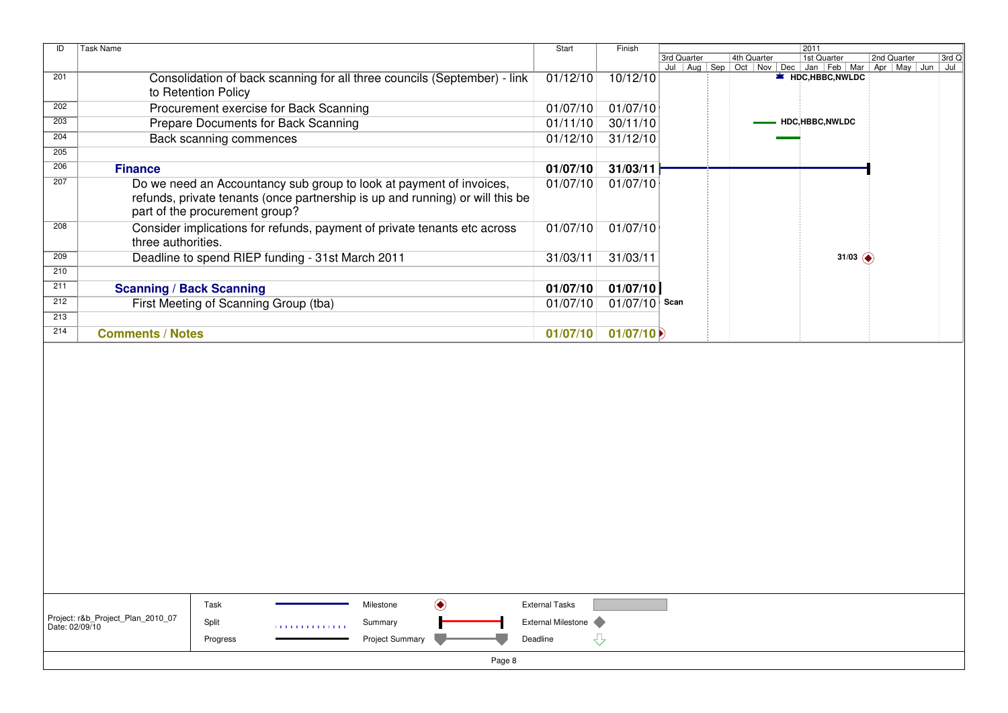| ID  | <b>Task Name</b><br>Start                                                                                                                                                              |          | Finish   |             |  |             |               | 2011                                                                             |  |                       |         |
|-----|----------------------------------------------------------------------------------------------------------------------------------------------------------------------------------------|----------|----------|-------------|--|-------------|---------------|----------------------------------------------------------------------------------|--|-----------------------|---------|
|     |                                                                                                                                                                                        |          |          | 3rd Quarter |  | 4th Quarter |               | 1st Quarter                                                                      |  | 2nd Quarter           | $3rd$ Q |
| 201 | Consolidation of back scanning for all three councils (September) - link<br>to Retention Policy                                                                                        | 01/12/10 | 10/12/10 |             |  |             |               | Jul   Aug   Sep   Oct   Nov   Dec   Jan   Feb   Mar  <br><b>E</b> HDC,HBBC,NWLDC |  | Apr   May   Jun   Jul |         |
| 202 | Procurement exercise for Back Scanning                                                                                                                                                 | 01/07/10 | 01/07/10 |             |  |             |               |                                                                                  |  |                       |         |
| 203 | Prepare Documents for Back Scanning                                                                                                                                                    | 01/11/10 | 30/11/10 |             |  |             |               | HDC,HBBC,NWLDC                                                                   |  |                       |         |
| 204 | Back scanning commences                                                                                                                                                                | 01/12/10 | 31/12/10 |             |  |             |               |                                                                                  |  |                       |         |
| 205 |                                                                                                                                                                                        |          |          |             |  |             |               |                                                                                  |  |                       |         |
| 206 | <b>Finance</b>                                                                                                                                                                         | 01/07/10 | 31/03/11 |             |  |             |               |                                                                                  |  |                       |         |
| 207 | Do we need an Accountancy sub group to look at payment of invoices,<br>refunds, private tenants (once partnership is up and running) or will this be<br>part of the procurement group? | 01/07/10 | 01/07/10 |             |  |             |               |                                                                                  |  |                       |         |
| 208 | Consider implications for refunds, payment of private tenants etc across<br>three authorities.                                                                                         | 01/07/10 | 01/07/10 |             |  |             |               |                                                                                  |  |                       |         |
| 209 | Deadline to spend RIEP funding - 31st March 2011                                                                                                                                       | 31/03/11 | 31/03/11 |             |  |             | 31/03 $\odot$ |                                                                                  |  |                       |         |
| 210 |                                                                                                                                                                                        |          |          |             |  |             |               |                                                                                  |  |                       |         |
| 211 | <b>Scanning / Back Scanning</b>                                                                                                                                                        | 01/07/10 | 01/07/10 |             |  |             |               |                                                                                  |  |                       |         |
| 212 | First Meeting of Scanning Group (tba)                                                                                                                                                  | 01/07/10 | 01/07/10 | Scan        |  |             |               |                                                                                  |  |                       |         |
| 213 |                                                                                                                                                                                        |          |          |             |  |             |               |                                                                                  |  |                       |         |
| 214 | <b>Comments / Notes</b>                                                                                                                                                                | 01/07/10 | 01/07/10 |             |  |             |               |                                                                                  |  |                       |         |
|     |                                                                                                                                                                                        |          |          |             |  |             |               |                                                                                  |  |                       |         |

|                                                     | Task     |                | Milestone              |  | <b>External Tasks</b>     |  |  |  |
|-----------------------------------------------------|----------|----------------|------------------------|--|---------------------------|--|--|--|
| Project: r&b_Project_Plan_2010_07<br>Date: 02/09/10 | Split    | 11111111111111 | Summary                |  | <b>External Milestone</b> |  |  |  |
|                                                     | Progress |                | <b>Project Summary</b> |  | Deadline                  |  |  |  |
| Page 8                                              |          |                |                        |  |                           |  |  |  |